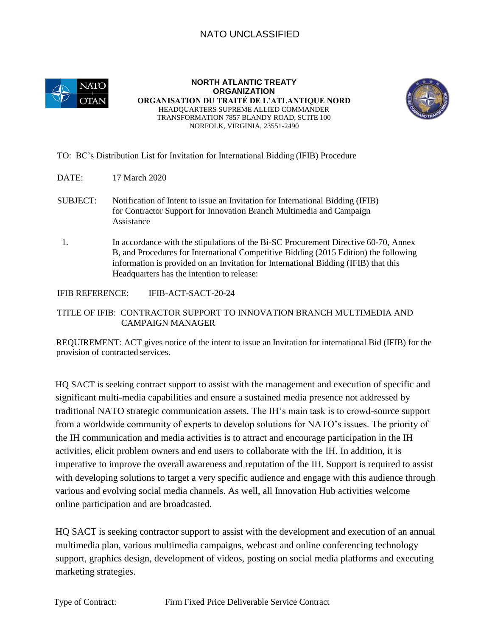## NATO UNCLASSIFIED



**NORTH ATLANTIC TREATY ORGANIZATION ORGANISATION DU TRAITÉ DE L'ATLANTIQUE NORD**  HEADQUARTERS SUPREME ALLIED COMMANDER TRANSFORMATION 7857 BLANDY ROAD, SUITE 100 NORFOLK, VIRGINIA, 23551-2490



## TO: BC's Distribution List for Invitation for International Bidding (IFIB) Procedure

- DATE: 17 March 2020
- SUBJECT: Notification of Intent to issue an Invitation for International Bidding (IFIB) for Contractor Support for Innovation Branch Multimedia and Campaign Assistance
- 1. In accordance with the stipulations of the Bi-SC Procurement Directive 60-70, Annex B, and Procedures for International Competitive Bidding (2015 Edition) the following information is provided on an Invitation for International Bidding (IFIB) that this Headquarters has the intention to release:

IFIB REFERENCE: IFIB-ACT-SACT-20-24

## TITLE OF IFIB: CONTRACTOR SUPPORT TO INNOVATION BRANCH MULTIMEDIA AND CAMPAIGN MANAGER

REQUIREMENT: ACT gives notice of the intent to issue an Invitation for international Bid (IFIB) for the provision of contracted services.

HQ SACT is seeking contract support to assist with the management and execution of specific and significant multi-media capabilities and ensure a sustained media presence not addressed by traditional NATO strategic communication assets. The IH's main task is to crowd-source support from a worldwide community of experts to develop solutions for NATO's issues. The priority of the IH communication and media activities is to attract and encourage participation in the IH activities, elicit problem owners and end users to collaborate with the IH. In addition, it is imperative to improve the overall awareness and reputation of the IH. Support is required to assist with developing solutions to target a very specific audience and engage with this audience through various and evolving social media channels. As well, all Innovation Hub activities welcome online participation and are broadcasted.

HQ SACT is seeking contractor support to assist with the development and execution of an annual multimedia plan, various multimedia campaigns, webcast and online conferencing technology support, graphics design, development of videos, posting on social media platforms and executing marketing strategies.